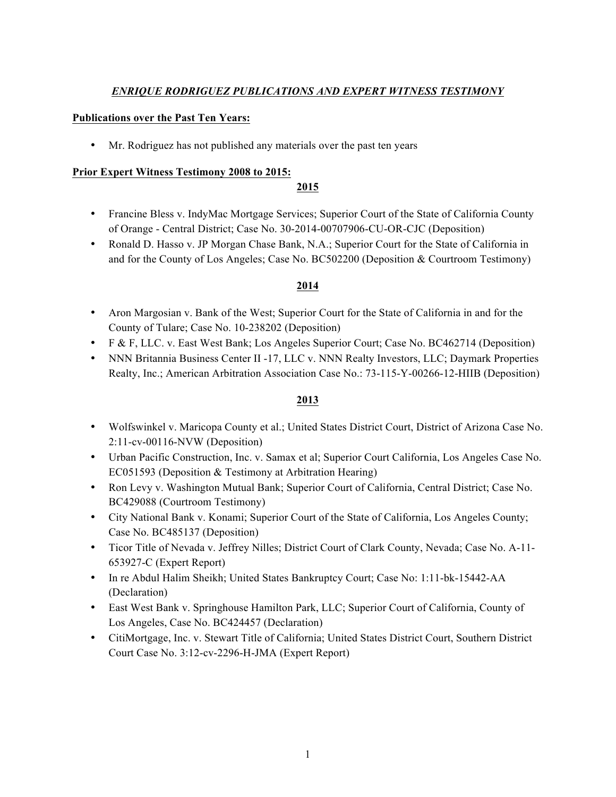# *ENRIQUE RODRIGUEZ PUBLICATIONS AND EXPERT WITNESS TESTIMONY*

### **Publications over the Past Ten Years:**

• Mr. Rodriguez has not published any materials over the past ten years

#### **Prior Expert Witness Testimony 2008 to 2015:**

#### **2015**

- Francine Bless v. IndyMac Mortgage Services; Superior Court of the State of California County of Orange - Central District; Case No. 30-2014-00707906-CU-OR-CJC (Deposition)
- Ronald D. Hasso v. JP Morgan Chase Bank, N.A.; Superior Court for the State of California in and for the County of Los Angeles; Case No. BC502200 (Deposition & Courtroom Testimony)

### **2014**

- Aron Margosian v. Bank of the West; Superior Court for the State of California in and for the County of Tulare; Case No. 10-238202 (Deposition)
- F & F, LLC. v. East West Bank; Los Angeles Superior Court; Case No. BC462714 (Deposition)
- NNN Britannia Business Center II -17, LLC v. NNN Realty Investors, LLC; Daymark Properties Realty, Inc.; American Arbitration Association Case No.: 73-115-Y-00266-12-HIIB (Deposition)

## **2013**

- Wolfswinkel v. Maricopa County et al.; United States District Court, District of Arizona Case No. 2:11-cv-00116-NVW (Deposition)
- Urban Pacific Construction, Inc. v. Samax et al; Superior Court California, Los Angeles Case No. EC051593 (Deposition & Testimony at Arbitration Hearing)
- Ron Levy v. Washington Mutual Bank; Superior Court of California, Central District; Case No. BC429088 (Courtroom Testimony)
- City National Bank v. Konami; Superior Court of the State of California, Los Angeles County; Case No. BC485137 (Deposition)
- Ticor Title of Nevada v. Jeffrey Nilles; District Court of Clark County, Nevada; Case No. A-11- 653927-C (Expert Report)
- In re Abdul Halim Sheikh; United States Bankruptcy Court; Case No: 1:11-bk-15442-AA (Declaration)
- East West Bank v. Springhouse Hamilton Park, LLC; Superior Court of California, County of Los Angeles, Case No. BC424457 (Declaration)
- CitiMortgage, Inc. v. Stewart Title of California; United States District Court, Southern District Court Case No. 3:12-cv-2296-H-JMA (Expert Report)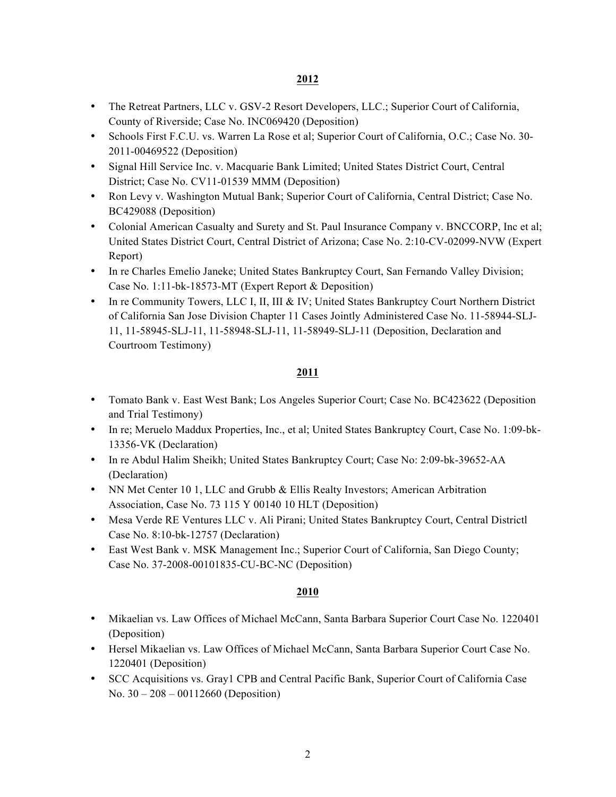## **2012**

- The Retreat Partners, LLC v. GSV-2 Resort Developers, LLC.; Superior Court of California, County of Riverside; Case No. INC069420 (Deposition)
- Schools First F.C.U. vs. Warren La Rose et al; Superior Court of California, O.C.; Case No. 30- 2011-00469522 (Deposition)
- Signal Hill Service Inc. v. Macquarie Bank Limited; United States District Court, Central District; Case No. CV11-01539 MMM (Deposition)
- Ron Levy v. Washington Mutual Bank; Superior Court of California, Central District; Case No. BC429088 (Deposition)
- Colonial American Casualty and Surety and St. Paul Insurance Company v. BNCCORP, Inc et al; United States District Court, Central District of Arizona; Case No. 2:10-CV-02099-NVW (Expert Report)
- In re Charles Emelio Janeke; United States Bankruptcy Court, San Fernando Valley Division; Case No. 1:11-bk-18573-MT (Expert Report & Deposition)
- In re Community Towers, LLC I, II, III & IV; United States Bankruptcy Court Northern District of California San Jose Division Chapter 11 Cases Jointly Administered Case No. 11-58944-SLJ-11, 11-58945-SLJ-11, 11-58948-SLJ-11, 11-58949-SLJ-11 (Deposition, Declaration and Courtroom Testimony)

# **2011**

- Tomato Bank v. East West Bank; Los Angeles Superior Court; Case No. BC423622 (Deposition and Trial Testimony)
- In re; Meruelo Maddux Properties, Inc., et al; United States Bankruptcy Court, Case No. 1:09-bk-13356-VK (Declaration)
- In re Abdul Halim Sheikh; United States Bankruptcy Court; Case No: 2:09-bk-39652-AA (Declaration)
- NN Met Center 10 1, LLC and Grubb & Ellis Realty Investors; American Arbitration Association, Case No. 73 115 Y 00140 10 HLT (Deposition)
- Mesa Verde RE Ventures LLC v. Ali Pirani; United States Bankruptcy Court, Central Districtl Case No. 8:10-bk-12757 (Declaration)
- East West Bank v. MSK Management Inc.; Superior Court of California, San Diego County; Case No. 37-2008-00101835-CU-BC-NC (Deposition)

# **2010**

- Mikaelian vs. Law Offices of Michael McCann, Santa Barbara Superior Court Case No. 1220401 (Deposition)
- Hersel Mikaelian vs. Law Offices of Michael McCann, Santa Barbara Superior Court Case No. 1220401 (Deposition)
- SCC Acquisitions vs. Gray1 CPB and Central Pacific Bank, Superior Court of California Case No. 30 – 208 – 00112660 (Deposition)